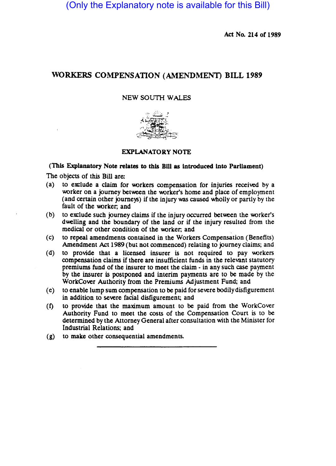(Only the Explanatory note is available for this Bill)

Act No. 214 of 1989

## WORKERS COMPENSATION (AMENDMENT) BILL 1989

## NEW SOUTH WALES



## EXPLANATORY NOTE

## (This Explanatory Note relates to this BID as introduced into Parliament)

The objects of this Bill are:

- (a) to exclude a claim for workers compensation for injuries received by a worker on a journey between the worker's home and place of employment (and certain other journeys) if the injury was caused wholly or panly by the fault of the worker; and
- (b) to exclude such journey claims if the injury occurred between the worker's dwelling and the boundary of the land or if the injury resulted from the medical or other condition of the worker; and
- (c) to repeal amendments contained in the Workers Compensation (Benefits) Amendment Act 1989 (but not commenced) relating to journey claims; and
- (d) to provide that a licensed insurer is not required to pay workers compensation claims if there are insufficient funds in the relevant statutory premiums fund of the insurer to meet the claim - in any such case payment by the insurer is postponed and interim payments are to be made by the WorkCover Authority from the Premiums Adjustment Fund; and
- (e) to enable lump sum compensation to be paid for severe bodily disfigurement in addition to severe facial disfigurement; and
- (1) to provide that the maximum amount to be paid from the WorkCover Authority Fund to meet the costs of the Compensation Court is to be determined by the Attorney General after consultation with the Minister for Industrial Relations; and
- (g) to make other consequential amendments.